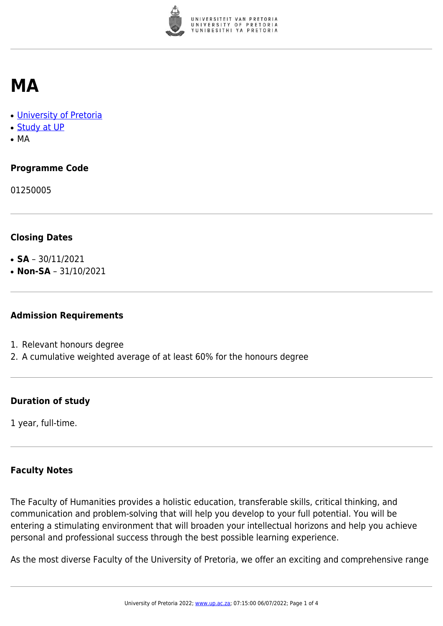

## **MA**

- [University of Pretoria](https://www.up.ac.za/home)
- [Study at UP](https://www.up.ac.za/programmes)
- MA

### **Programme Code**

01250005

#### **Closing Dates**

- **SA**  $30/11/2021$
- $\cdot$  **Non-SA** 31/10/2021

#### **Admission Requirements**

- 1. Relevant honours degree
- 2. A cumulative weighted average of at least 60% for the honours degree

#### **Duration of study**

1 year, full-time.

#### **Faculty Notes**

The Faculty of Humanities provides a holistic education, transferable skills, critical thinking, and communication and problem-solving that will help you develop to your full potential. You will be entering a stimulating environment that will broaden your intellectual horizons and help you achieve personal and professional success through the best possible learning experience.

As the most diverse Faculty of the University of Pretoria, we offer an exciting and comprehensive range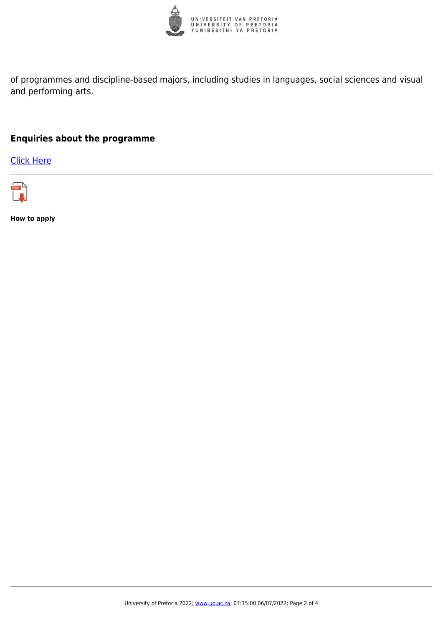

of programmes and discipline-based majors, including studies in languages, social sciences and visual and performing arts.

#### **Enquiries about the programme**

[Click Here](https://www.up.ac.za/postgraduate-students)



**How to apply**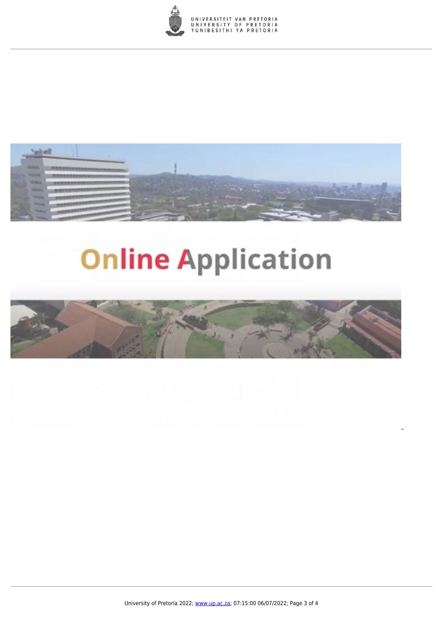



# **Online Application**